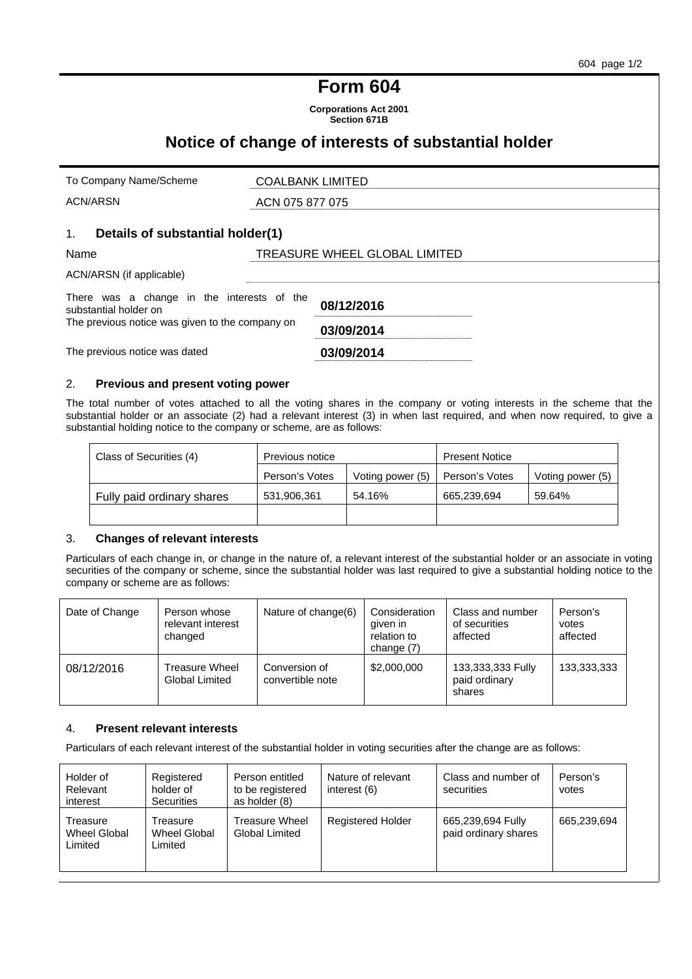# **Form 604**

**Corporations Act 2001 Section 671B** 

## **Notice of change of interests of substantial holder**

| To Company Name/Scheme                                                                                                 | <b>COALBANK LIMITED</b>       |
|------------------------------------------------------------------------------------------------------------------------|-------------------------------|
| ACN/ARSN                                                                                                               | ACN 075 877 075               |
| Details of substantial holder(1)<br>1.                                                                                 |                               |
| Name                                                                                                                   | TREASURE WHEEL GLOBAL LIMITED |
| ACN/ARSN (if applicable)                                                                                               |                               |
| There was a change in the interests of the<br>substantial holder on<br>The previous notice was given to the company on | 08/12/2016<br>03/09/2014      |
| The previous notice was dated                                                                                          | 03/09/2014                    |

#### 2. **Previous and present voting power**

The total number of votes attached to all the voting shares in the company or voting interests in the scheme that the substantial holder or an associate (2) had a relevant interest (3) in when last required, and when now required, to give a substantial holding notice to the company or scheme, are as follows:

| Class of Securities (4)    | Previous notice |                  | <b>Present Notice</b> |                  |
|----------------------------|-----------------|------------------|-----------------------|------------------|
|                            | Person's Votes  | Voting power (5) | Person's Votes        | Voting power (5) |
| Fully paid ordinary shares | 531,906,361     | 54.16%           | 665.239.694           | 59.64%           |
|                            |                 |                  |                       |                  |

### 3. **Changes of relevant interests**

Particulars of each change in, or change in the nature of, a relevant interest of the substantial holder or an associate in voting securities of the company or scheme, since the substantial holder was last required to give a substantial holding notice to the company or scheme are as follows:

| Date of Change | Person whose<br>relevant interest<br>changed   | Nature of change(6)               | Consideration<br>given in<br>relation to<br>change $(7)$ | Class and number<br>of securities<br>affected | Person's<br>votes<br>affected |
|----------------|------------------------------------------------|-----------------------------------|----------------------------------------------------------|-----------------------------------------------|-------------------------------|
| 08/12/2016     | <b>Treasure Wheel</b><br><b>Global Limited</b> | Conversion of<br>convertible note | \$2,000,000                                              | 133,333,333 Fully<br>paid ordinary<br>shares  | 133,333,333                   |

#### 4. **Present relevant interests**

Particulars of each relevant interest of the substantial holder in voting securities after the change are as follows:

| Holder of<br>Relevant<br>interest   | Registered<br>holder of<br><b>Securities</b> | Person entitled<br>to be registered<br>as holder (8) | Nature of relevant<br>interest (6) | Class and number of<br>securities         | Person's<br>votes |
|-------------------------------------|----------------------------------------------|------------------------------------------------------|------------------------------------|-------------------------------------------|-------------------|
| Treasure<br>Wheel Global<br>Limited | Treasure<br>Wheel Global<br>Limited          | Treasure Wheel<br>Global Limited                     | <b>Registered Holder</b>           | 665,239,694 Fully<br>paid ordinary shares | 665,239,694       |